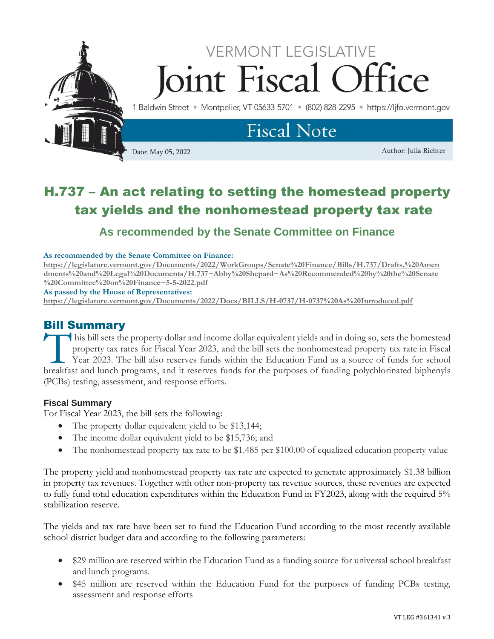

# H.737 – An act relating to setting the homestead property tax yields and the nonhomestead property tax rate

## **As recommended by the Senate Committee on Finance**

#### **As recommended by the Senate Committee on Finance:**

**[https://legislature.vermont.gov/Documents/2022/WorkGroups/Senate%20Finance/Bills/H.737/Drafts,%20Amen](https://legislature.vermont.gov/Documents/2022/WorkGroups/Senate%20Finance/Bills/H.737/Drafts,%20Amendments%20and%20Legal%20Documents/H.737~Abby%20Shepard~As%20Recommended%20by%20the%20Senate%20Committee%20on%20Finance~5-5-2022.pdf) [dments%20and%20Legal%20Documents/H.737~Abby%20Shepard~As%20Recommended%20by%20the%20Senate](https://legislature.vermont.gov/Documents/2022/WorkGroups/Senate%20Finance/Bills/H.737/Drafts,%20Amendments%20and%20Legal%20Documents/H.737~Abby%20Shepard~As%20Recommended%20by%20the%20Senate%20Committee%20on%20Finance~5-5-2022.pdf) [%20Committee%20on%20Finance~5-5-2022.pdf](https://legislature.vermont.gov/Documents/2022/WorkGroups/Senate%20Finance/Bills/H.737/Drafts,%20Amendments%20and%20Legal%20Documents/H.737~Abby%20Shepard~As%20Recommended%20by%20the%20Senate%20Committee%20on%20Finance~5-5-2022.pdf)**

**As passed by the House of Representatives:** 

**<https://legislature.vermont.gov/Documents/2022/Docs/BILLS/H-0737/H-0737%20As%20Introduced.pdf>**

### Bill Summary

his bill sets the property dollar and income dollar equivalent yields and in doing so, sets the homestead property tax rates for Fiscal Year 2023, and the bill sets the nonhomestead property tax rate in Fiscal Year 2023. The bill also reserves funds within the Education Fund as a source of funds for school This bill sets the property dollar and income dollar equivalent yields and in doing so, sets the homestead property tax rates for Fiscal Year 2023, and the bill sets the nonhomestead property tax rate in Fiscal Year 2023. (PCBs) testing, assessment, and response efforts.

### **Fiscal Summary**

For Fiscal Year 2023, the bill sets the following:

- The property dollar equivalent yield to be \$13,144;
- The income dollar equivalent yield to be \$15,736; and
- The nonhomestead property tax rate to be \$1.485 per \$100.00 of equalized education property value

The property yield and nonhomestead property tax rate are expected to generate approximately \$1.38 billion in property tax revenues. Together with other non-property tax revenue sources, these revenues are expected to fully fund total education expenditures within the Education Fund in FY2023, along with the required 5% stabilization reserve.

The yields and tax rate have been set to fund the Education Fund according to the most recently available school district budget data and according to the following parameters:

- \$29 million are reserved within the Education Fund as a funding source for universal school breakfast and lunch programs.
- \$45 million are reserved within the Education Fund for the purposes of funding PCBs testing, assessment and response efforts